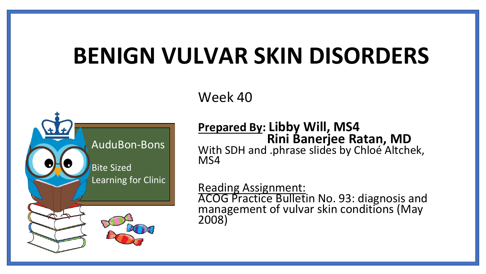# **BENIGN VULVAR SKIN DISORDERS**

Week 40



**Prepared By: Libby Will, MS4 Rini Banerjee Ratan, MD** With SDH and .phrase slides by Chloé Altchek, MS4

Reading Assignment: ACOG Practice Bulletin No. 93: diagnosis and management of vulvar skin conditions (May 2008)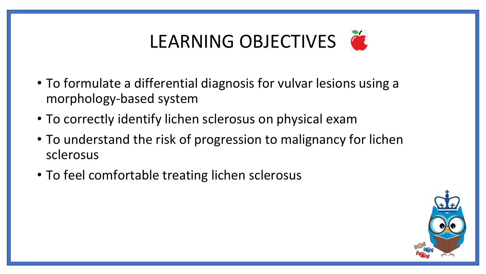# LEARNING OBJECTIVES

- To formulate a differential diagnosis for vulvar lesions using a morphology-based system
- To correctly identify lichen sclerosus on physical exam
- To understand the risk of progression to malignancy for lichen sclerosus
- To feel comfortable treating lichen sclerosus

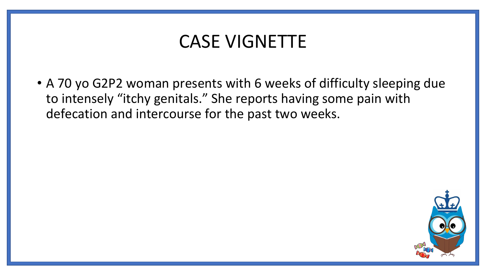### CASE VIGNETTE

• A 70 yo G2P2 woman presents with 6 weeks of difficulty sleeping due to intensely "itchy genitals." She reports having some pain with defecation and intercourse for the past two weeks.

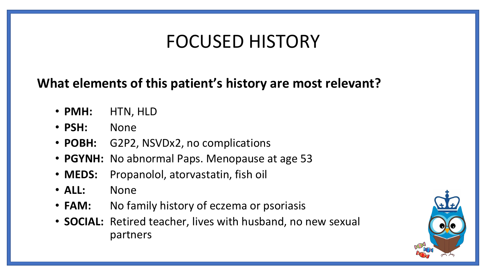### FOCUSED HISTORY

### **What elements of this patient's history are most relevant?**

- **PMH:** HTN, HLD
- **PSH:** None
- **POBH:** G2P2, NSVDx2, no complications
- **PGYNH:** No abnormal Paps. Menopause at age 53
- **MEDS:** Propanolol, atorvastatin, fish oil
- **ALL:** None
- **FAM:** No family history of eczema or psoriasis
- **SOCIAL:** Retired teacher, lives with husband, no new sexual partners

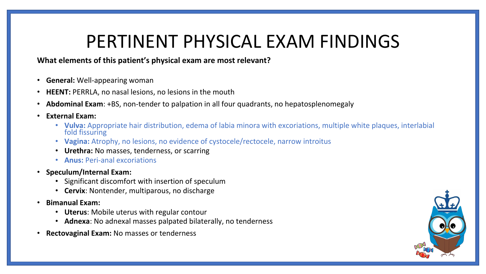### PERTINENT PHYSICAL EXAM FINDINGS

#### **What elements of this patient's physical exam are most relevant?**

- **General:** Well-appearing woman
- **HEENT:** PERRLA, no nasal lesions, no lesions in the mouth
- **Abdominal Exam**: +BS, non-tender to palpation in all four quadrants, no hepatosplenomegaly
- **External Exam:**
	- **Vulva:** Appropriate hair distribution, edema of labia minora with excoriations, multiple white plaques, interlabial fold fissuring
	- **Vagina:** Atrophy, no lesions, no evidence of cystocele/rectocele, narrow introitus
	- **Urethra:** No masses, tenderness, or scarring
	- **Anus:** Peri-anal excoriations
- **Speculum/Internal Exam:**
	- Significant discomfort with insertion of speculum
	- **Cervix**: Nontender, multiparous, no discharge
- **Bimanual Exam:** 
	- **Uterus**: Mobile uterus with regular contour
	- **Adnexa**: No adnexal masses palpated bilaterally, no tenderness
- **Rectovaginal Exam:** No masses or tenderness

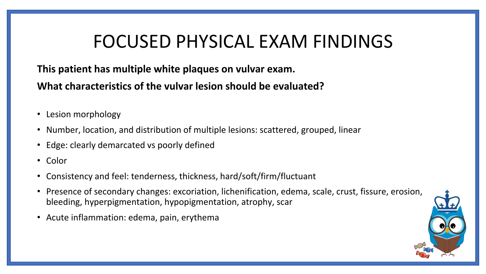### FOCUSED PHYSICAL EXAM FINDINGS

#### **This patient has multiple white plaques on vulvar exam.**

**What characteristics of the vulvar lesion should be evaluated?**

- Lesion morphology
- Number, location, and distribution of multiple lesions: scattered, grouped, linear
- Edge: clearly demarcated vs poorly defined
- Color
- Consistency and feel: tenderness, thickness, hard/soft/firm/fluctuant
- Presence of secondary changes: excoriation, lichenification, edema, scale, crust, fissure, erosion, bleeding, hyperpigmentation, hypopigmentation, atrophy, scar
- Acute inflammation: edema, pain, erythema

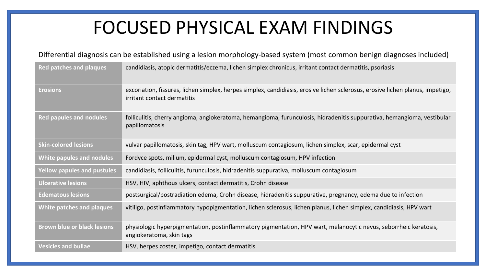### FOCUSED PHYSICAL EXAM FINDINGS

#### Differential diagnosis can be established using a lesion morphology-based system (most common benign diagnoses included)

| <b>Red patches and plaques</b>     | candidiasis, atopic dermatitis/eczema, lichen simplex chronicus, irritant contact dermatitis, psoriasis                                                       |  |  |  |  |
|------------------------------------|---------------------------------------------------------------------------------------------------------------------------------------------------------------|--|--|--|--|
| <b>Erosions</b>                    | excoriation, fissures, lichen simplex, herpes simplex, candidiasis, erosive lichen sclerosus, erosive lichen planus, impetigo,<br>irritant contact dermatitis |  |  |  |  |
| <b>Red papules and nodules</b>     | folliculitis, cherry angioma, angiokeratoma, hemangioma, furunculosis, hidradenitis suppurativa, hemangioma, vestibular<br>papillomatosis                     |  |  |  |  |
| <b>Skin-colored lesions</b>        | vulvar papillomatosis, skin tag, HPV wart, molluscum contagiosum, lichen simplex, scar, epidermal cyst                                                        |  |  |  |  |
| White papules and nodules          | Fordyce spots, milium, epidermal cyst, molluscum contagiosum, HPV infection                                                                                   |  |  |  |  |
| <b>Yellow papules and pustules</b> | candidiasis, folliculitis, furunculosis, hidradenitis suppurativa, molluscum contagiosum                                                                      |  |  |  |  |
| <b>Ulcerative lesions</b>          | HSV, HIV, aphthous ulcers, contact dermatitis, Crohn disease                                                                                                  |  |  |  |  |
| <b>Edematous lesions</b>           | postsurgical/postradiation edema, Crohn disease, hidradenitis suppurative, pregnancy, edema due to infection                                                  |  |  |  |  |
| White patches and plaques          | vitiligo, postinflammatory hypopigmentation, lichen sclerosus, lichen planus, lichen simplex, candidiasis, HPV wart                                           |  |  |  |  |
| <b>Brown blue or black lesions</b> | physiologic hyperpigmentation, postinflammatory pigmentation, HPV wart, melanocytic nevus, seborrheic keratosis,<br>angiokeratoma, skin tags                  |  |  |  |  |
| <b>Vesicles and bullae</b>         | HSV, herpes zoster, impetigo, contact dermatitis                                                                                                              |  |  |  |  |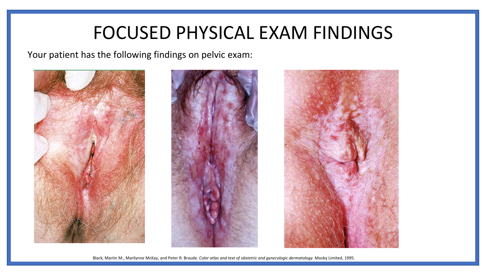### FOCUSED PHYSICAL EXAM FINDINGS

Your patient has the following findings on pelvic exam:







Black, Martin M., Marilynne McKay, and Peter R. Braude. *Color atlas and text of obstetric and gynecologic dermatology*. Mosby Limited, 1995.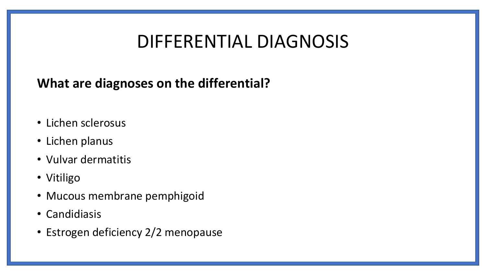### DIFFERENTIAL DIAGNOSIS

### **What are diagnoses on the differential?**

- Lichen sclerosus
- Lichen planus
- Vulvar dermatitis
- Vitiligo
- Mucous membrane pemphigoid
- Candidiasis
- Estrogen deficiency 2/2 menopause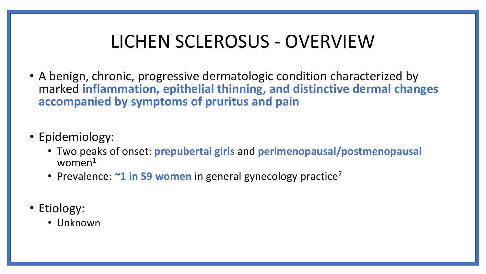### LICHEN SCLEROSUS - OVERVIEW

- A benign, chronic, progressive dermatologic condition characterized by marked **inflammation, epithelial thinning, and distinctive dermal changes accompanied by symptoms of pruritus and pain**
- Epidemiology:
	- Two peaks of onset: **prepubertal girls** and **perimenopausal/postmenopausal**  women<sup>1</sup>
	- Prevalence:  $\sim$ **1 in 59 women** in general gynecology practice<sup>2</sup>
- Etiology:
	- Unknown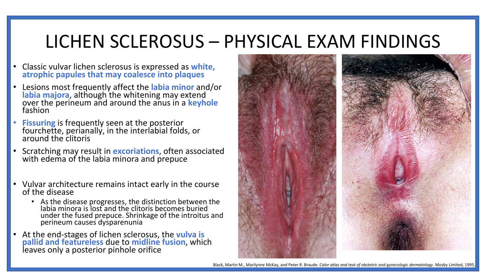### LICHEN SCLEROSUS – PHYSICAL EXAM FINDINGS

- Classic vulvar lichen sclerosus is expressed as **white, atrophic papules that may coalesce into plaques**
- Lesions most frequently affect the **labia minor** and/or **labia majora**, although the whitening may extend over the perineum and around the anus in a **keyhole** fashion
- **Fissuring** is frequently seen at the posterior fourchette, perianally, in the interlabial folds, or around the clitoris
- Scratching may result in **excoriations**, often associated with edema of the labia minora and prepuce
- Vulvar architecture remains intact early in the course of the disease
	- As the disease progresses, the distinction between the labia minora is lost and the clitoris becomes buried under the fused prepuce. Shrinkage of the introitus and perineum causes dysparenunia
- At the end-stages of lichen sclerosus, the **vulva is pallid and featureless** due to **midline fusion**, which leaves only a posterior pinhole orifice



Black, Martin M., Marilynne McKay, and Peter R. Braude. *Color atlas and text of obstetric and gynecologic dermatology*. Mosby Limited, 1995.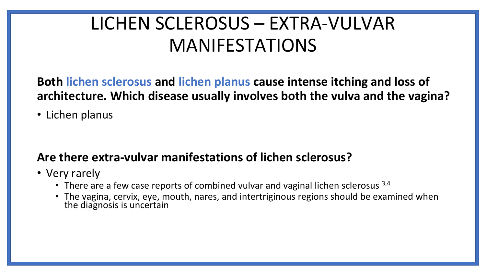## LICHEN SCLEROSUS – EXTRA-VULVAR MANIFESTATIONS

**Both lichen sclerosus and lichen planus cause intense itching and loss of architecture. Which disease usually involves both the vulva and the vagina?** 

• Lichen planus

#### **Are there extra-vulvar manifestations of lichen sclerosus?**

- Very rarely
	- There are a few case reports of combined vulvar and vaginal lichen sclerosus  $3,4$
	- The vagina, cervix, eye, mouth, nares, and intertriginous regions should be examined when the diagnosis is uncertain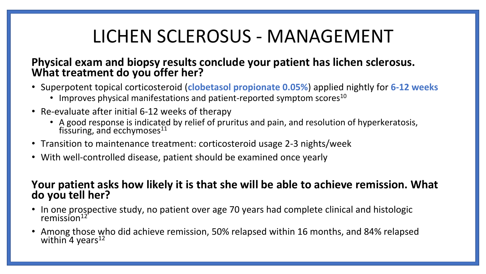## LICHEN SCLEROSUS - MANAGEMENT

#### **Physical exam and biopsy results conclude your patient has lichen sclerosus. What treatment do you offer her?**

- Superpotent topical corticosteroid (**clobetasol propionate 0.05%**) applied nightly for **6-12 weeks**
	- Improves physical manifestations and patient-reported symptom scores<sup>10</sup>
- Re-evaluate after initial 6-12 weeks of therapy
	- A good response is indicated by relief of pruritus and pain, and resolution of hyperkeratosis, fissuring, and ecchymoses $^{11}$
- Transition to maintenance treatment: corticosteroid usage 2-3 nights/week
- With well-controlled disease, patient should be examined once yearly

#### **Your patient asks how likely it is that she will be able to achieve remission. What do you tell her?**

- In one prospective study, no patient over age 70 years had complete clinical and histologic remission $12$
- Among those who did achieve remission, 50% relapsed within 16 months, and 84% relapsed within  $4$  years<sup>12</sup>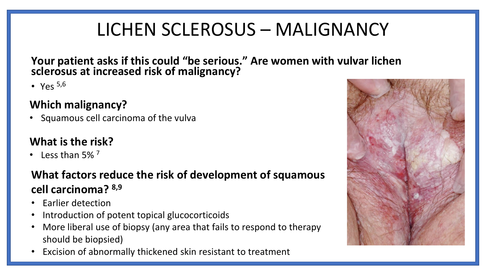## LICHEN SCLEROSUS – MALIGNANCY

**Your patient asks if this could "be serious." Are women with vulvar lichen sclerosus at increased risk of malignancy?**

• Yes  $5,6$ 

#### **Which malignancy?**

• Squamous cell carcinoma of the vulva

### **What is the risk?**

• Less than  $5\%$ <sup>7</sup>

### **What factors reduce the risk of development of squamous cell carcinoma? 8,9**

- Earlier detection
- Introduction of potent topical glucocorticoids
- More liberal use of biopsy (any area that fails to respond to therapy should be biopsied)
- Excision of abnormally thickened skin resistant to treatment

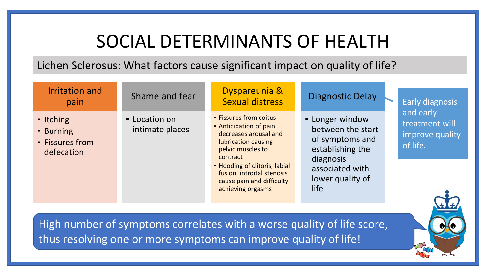### SOCIAL DETERMINANTS OF HEALTH

Lichen Sclerosus: What factors cause significant impact on quality of life?

| <b>Irritation and</b><br>pain                           | Shame and fear                   | Dyspareunia &<br><b>Sexual distress</b>                                                                                                                                                                                                            | <b>Diagnostic Delay</b>                                                                                                                 |          | <b>Early diagnosis</b>                         |
|---------------------------------------------------------|----------------------------------|----------------------------------------------------------------------------------------------------------------------------------------------------------------------------------------------------------------------------------------------------|-----------------------------------------------------------------------------------------------------------------------------------------|----------|------------------------------------------------|
| - Itching<br>- Burning<br>- Fissures from<br>defecation | - Location on<br>intimate places | - Fissures from coitus<br>- Anticipation of pain<br>decreases arousal and<br>lubrication causing<br>pelvic muscles to<br>contract<br>- Hooding of clitoris, labial<br>fusion, introital stenosis<br>cause pain and difficulty<br>achieving orgasms | - Longer window<br>between the start<br>of symptoms and<br>establishing the<br>diagnosis<br>associated with<br>lower quality of<br>life |          | and early<br>treatment will<br>improve quality |
|                                                         |                                  |                                                                                                                                                                                                                                                    |                                                                                                                                         | of life. |                                                |

High number of symptoms correlates with a worse quality of life score, thus resolving one or more symptoms can improve quality of life!

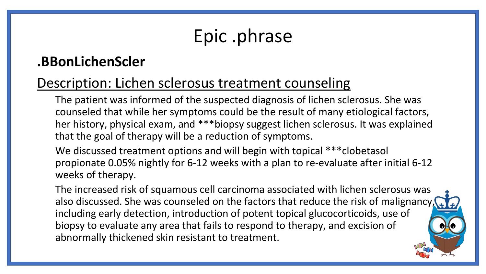## Epic .phrase

### **.BBonLichenScler**

### Description: Lichen sclerosus treatment counseling

The patient was informed of the suspected diagnosis of lichen sclerosus. She was counseled that while her symptoms could be the result of many etiological factors, her history, physical exam, and \*\*\*biopsy suggest lichen sclerosus. It was explained that the goal of therapy will be a reduction of symptoms.

We discussed treatment options and will begin with topical \*\*\* clobetasol propionate 0.05% nightly for 6-12 weeks with a plan to re-evaluate after initial 6-12 weeks of therapy.

The increased risk of squamous cell carcinoma associated with lichen sclerosus was also discussed. She was counseled on the factors that reduce the risk of malignancy, including early detection, introduction of potent topical glucocorticoids, use of biopsy to evaluate any area that fails to respond to therapy, and excision of abnormally thickened skin resistant to treatment.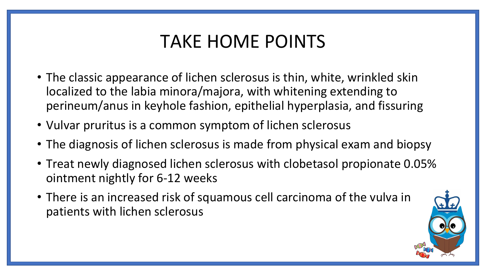## TAKE HOME POINTS

- The classic appearance of lichen sclerosus is thin, white, wrinkled skin localized to the labia minora/majora, with whitening extending to perineum/anus in keyhole fashion, epithelial hyperplasia, and fissuring
- Vulvar pruritus is a common symptom of lichen sclerosus
- The diagnosis of lichen sclerosus is made from physical exam and biopsy
- Treat newly diagnosed lichen sclerosus with clobetasol propionate 0.05% ointment nightly for 6-12 weeks
- There is an increased risk of squamous cell carcinoma of the vulva in patients with lichen sclerosus

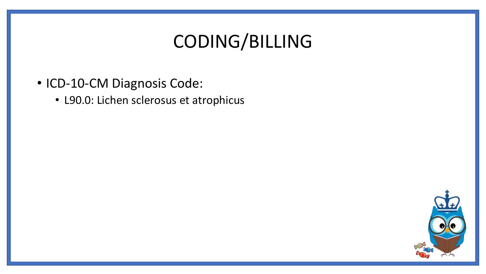## CODING/BILLING

- ICD-10-CM Diagnosis Code:
	- L90.0: Lichen sclerosus et atrophicus